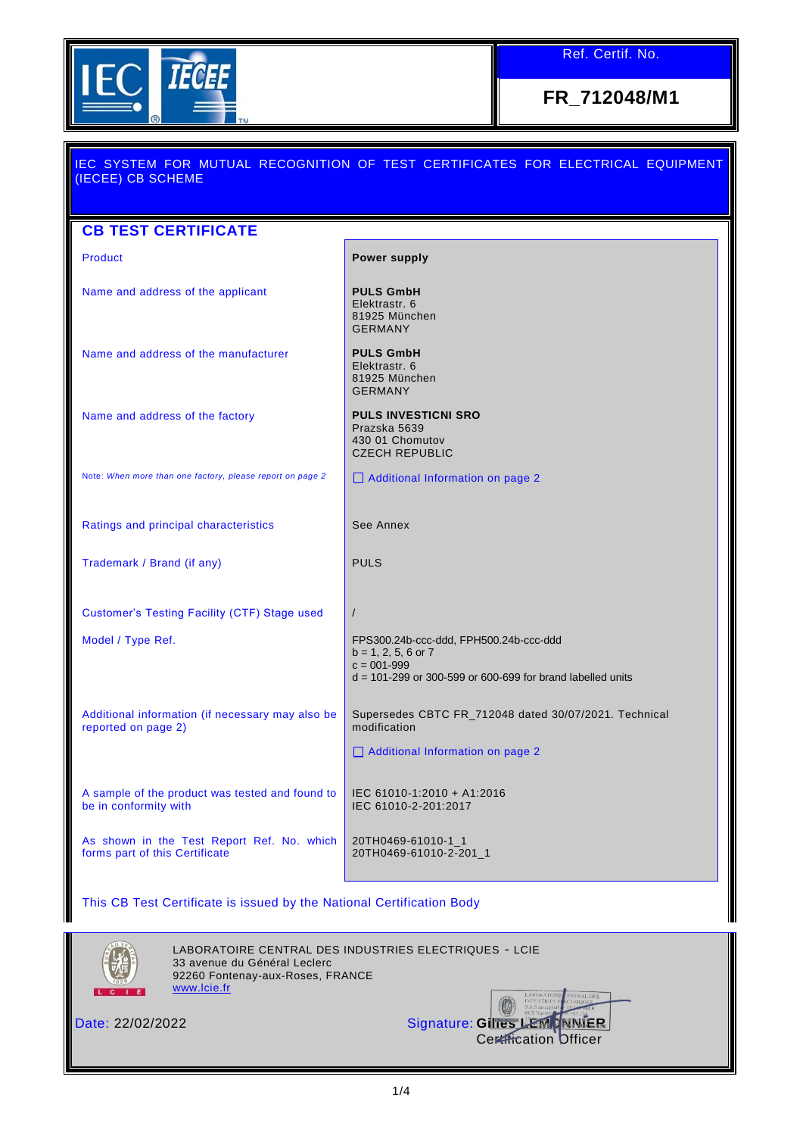

**FR\_712048/M1**

| IEC SYSTEM FOR MUTUAL RECOGNITION OF TEST CERTIFICATES FOR ELECTRICAL EQUIPMENT<br>(IECEE) CB SCHEME |                                                                                                                                                      |
|------------------------------------------------------------------------------------------------------|------------------------------------------------------------------------------------------------------------------------------------------------------|
|                                                                                                      |                                                                                                                                                      |
| <b>CB TEST CERTIFICATE</b>                                                                           |                                                                                                                                                      |
| <b>Product</b>                                                                                       | <b>Power supply</b>                                                                                                                                  |
| Name and address of the applicant                                                                    | <b>PULS GmbH</b><br>Elektrastr, 6<br>81925 München<br><b>GERMANY</b>                                                                                 |
| Name and address of the manufacturer                                                                 | <b>PULS GmbH</b><br>Elektrastr, 6<br>81925 München<br><b>GERMANY</b>                                                                                 |
| Name and address of the factory                                                                      | <b>PULS INVESTICNI SRO</b><br>Prazska 5639<br>430 01 Chomutov<br><b>CZECH REPUBLIC</b>                                                               |
| Note: When more than one factory, please report on page 2                                            | $\Box$ Additional Information on page 2                                                                                                              |
| Ratings and principal characteristics                                                                | See Annex                                                                                                                                            |
| Trademark / Brand (if any)                                                                           | <b>PULS</b>                                                                                                                                          |
| Customer's Testing Facility (CTF) Stage used                                                         | $\sqrt{2}$                                                                                                                                           |
| Model / Type Ref.                                                                                    | FPS300.24b-ccc-ddd, FPH500.24b-ccc-ddd<br>$b = 1, 2, 5, 6$ or $7$<br>$c = 001 - 999$<br>$d = 101-299$ or 300-599 or 600-699 for brand labelled units |
| Additional information (if necessary may also be<br>reported on page 2)                              | Supersedes CBTC FR_712048 dated 30/07/2021. Technical<br>modification<br>Additional Information on page 2                                            |
| A sample of the product was tested and found to<br>be in conformity with                             | IEC 61010-1:2010 + A1:2016<br>IEC 61010-2-201:2017                                                                                                   |
| As shown in the Test Report Ref. No. which<br>forms part of this Certificate                         | 20TH0469-61010-1_1<br>20TH0469-61010-2-201_1                                                                                                         |

This CB Test Certificate is issued by the National Certification Body



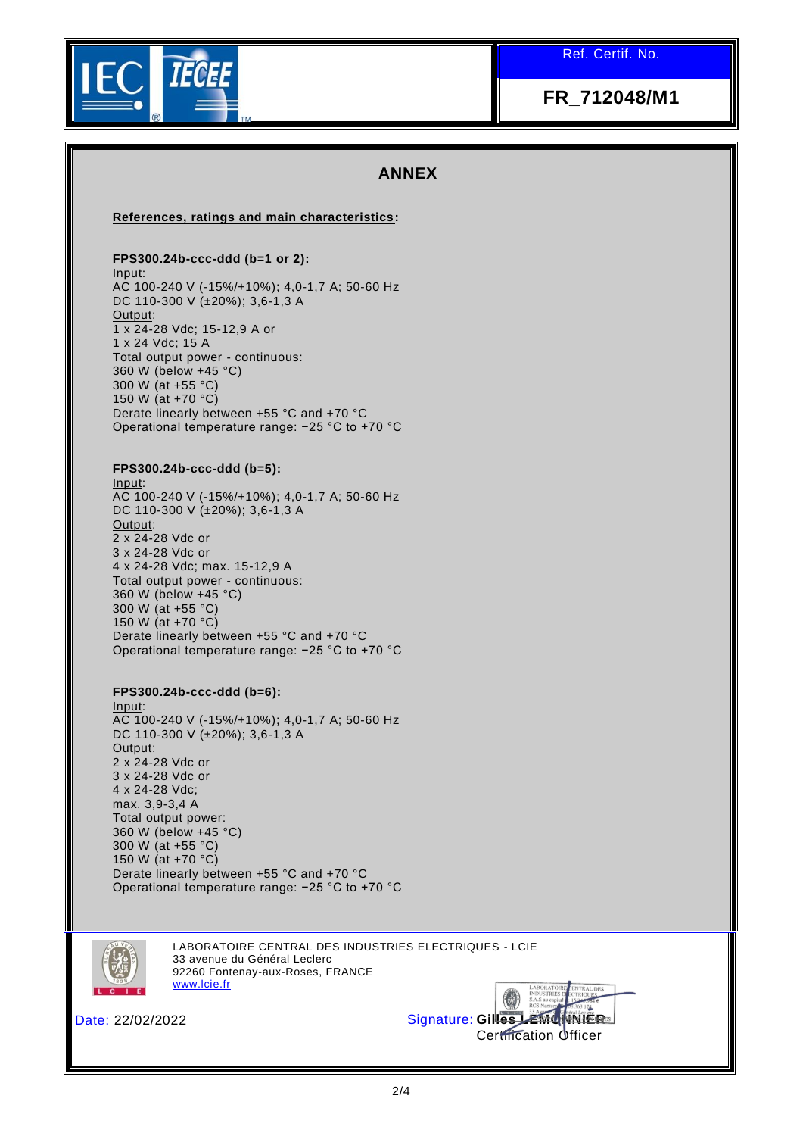

# **FR\_712048/M1**

## **ANNEX**

### **References, ratings and main characteristics:**

### **FPS300.24b-ccc-ddd (b=1 or 2):**

Input: AC 100-240 V (-15%/+10%); 4,0-1,7 A; 50-60 Hz DC 110-300 V (±20%); 3,6-1,3 A Output: 1 x 24-28 Vdc; 15-12,9 A or 1 x 24 Vdc; 15 A Total output power - continuous: 360 W (below +45 °C) 300 W (at +55 °C) 150 W (at +70 °C) Derate linearly between +55 °C and +70 °C Operational temperature range: −25 °C to +70 °C

#### **FPS300.24b-ccc-ddd (b=5):**

Input: AC 100-240 V (-15%/+10%); 4,0-1,7 A; 50-60 Hz DC 110-300 V (±20%); 3,6-1,3 A Output: 2 x 24-28 Vdc or 3 x 24-28 Vdc or 4 x 24-28 Vdc; max. 15-12,9 A Total output power - continuous: 360 W (below +45 °C) 300 W (at +55 °C) 150 W (at +70 °C) Derate linearly between +55 °C and +70 °C Operational temperature range: −25 °C to +70 °C

#### **FPS300.24b-ccc-ddd (b=6):**

Input: AC 100-240 V (-15%/+10%); 4,0-1,7 A; 50-60 Hz DC 110-300 V (±20%); 3,6-1,3 A Output: 2 x 24-28 Vdc or 3 x 24-28 Vdc or 4 x 24-28 Vdc; max. 3,9-3,4 A Total output power: 360 W (below +45 °C) 300 W (at +55 °C) 150 W (at +70 °C) Derate linearly between +55 °C and +70 °C Operational temperature range: −25 °C to +70 °C



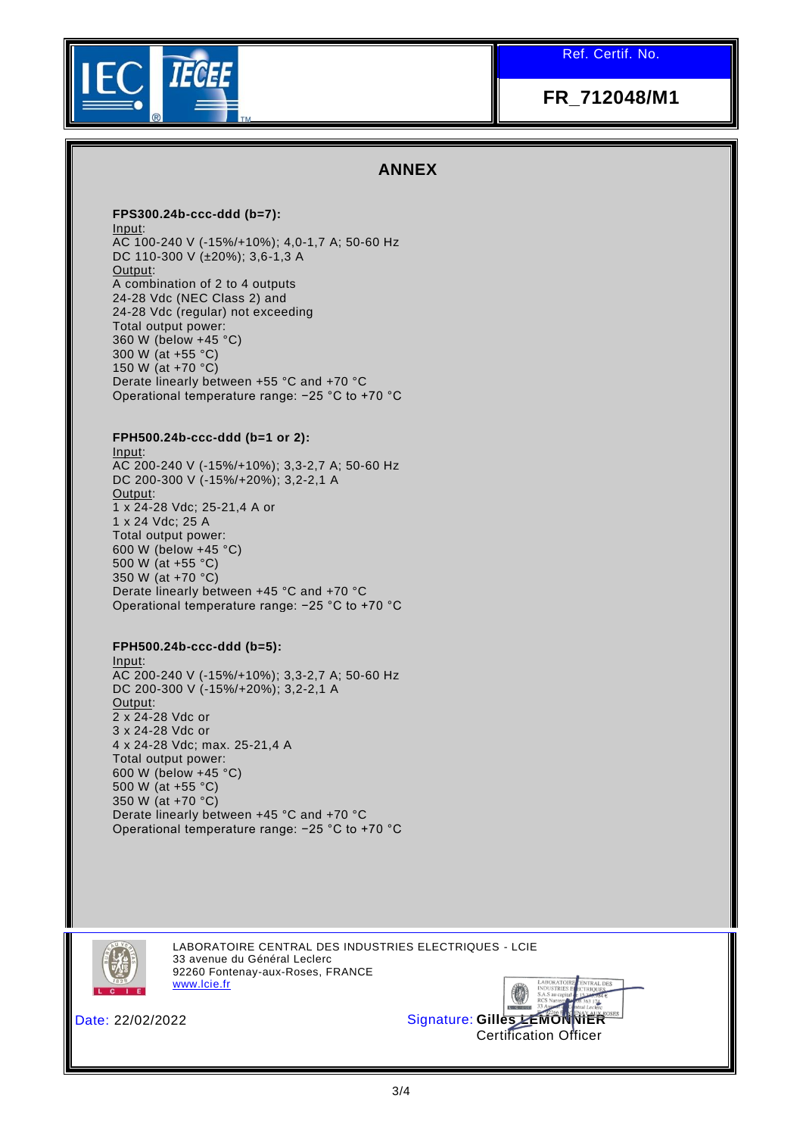

# **FR\_712048/M1**

# **ANNEX**

#### **FPS300.24b-ccc-ddd (b=7):**

Input: AC 100-240 V (-15%/+10%); 4,0-1,7 A; 50-60 Hz DC 110-300 V (±20%); 3,6-1,3 A Output: A combination of 2 to 4 outputs 24-28 Vdc (NEC Class 2) and 24-28 Vdc (regular) not exceeding Total output power: 360 W (below +45 °C) 300 W (at +55 °C) 150 W (at +70 °C) Derate linearly between +55 °C and +70 °C Operational temperature range: −25 °C to +70 °C

### **FPH500.24b-ccc-ddd (b=1 or 2):**

Input: AC 200-240 V (-15%/+10%); 3,3-2,7 A; 50-60 Hz DC 200-300 V (-15%/+20%); 3,2-2,1 A Output: 1 x 24-28 Vdc; 25-21,4 A or 1 x 24 Vdc; 25 A Total output power: 600 W (below +45 °C) 500 W (at +55 °C) 350 W (at +70 °C) Derate linearly between +45 °C and +70 °C Operational temperature range: −25 °C to +70 °C

## **FPH500.24b-ccc-ddd (b=5):**

Input: AC 200-240 V (-15%/+10%); 3,3-2,7 A; 50-60 Hz DC 200-300 V (-15%/+20%); 3,2-2,1 A Output:  $2 \times 24 - 28$  Vdc or 3 x 24-28 Vdc or 4 x 24-28 Vdc; max. 25-21,4 A Total output power: 600 W (below +45 °C) 500 W (at +55 °C) 350 W (at +70 °C) Derate linearly between +45 °C and +70 °C Operational temperature range: −25 °C to +70 °C